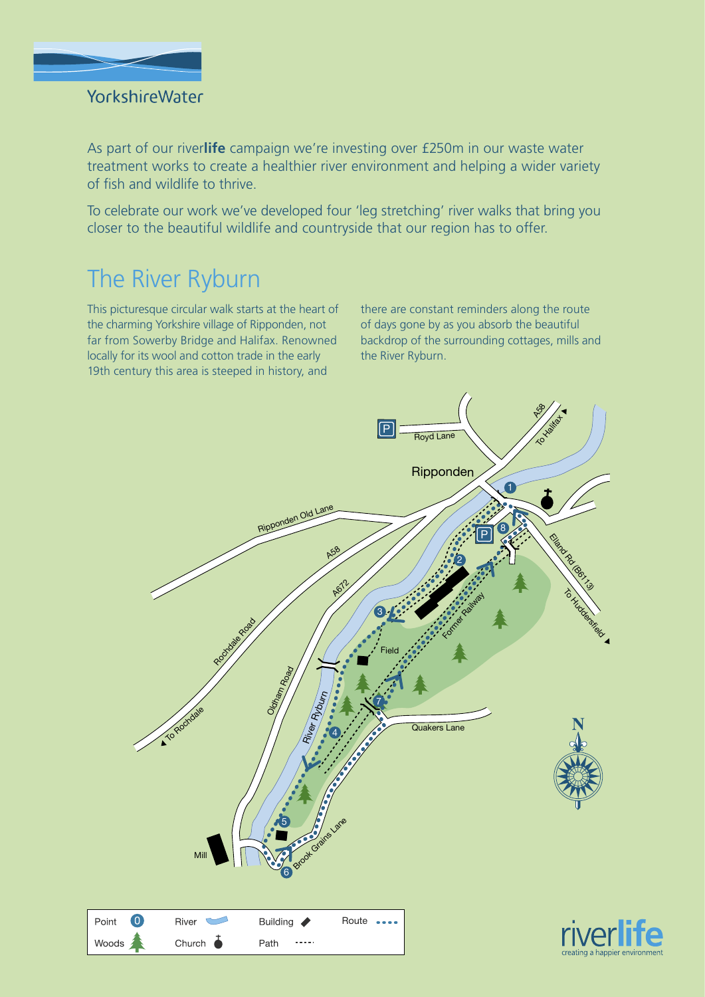

### YorkshireWater

As part of our river**life** campaign we're investing over £250m in our waste water treatment works to create a healthier river environment and helping a wider variety of fish and wildlife to thrive.

To celebrate our work we've developed four 'leg stretching' river walks that bring you closer to the beautiful wildlife and countryside that our region has to offer.

# The River Ryburn

This picturesque circular walk starts at the heart of the charming Yorkshire village of Ripponden, not far from Sowerby Bridge and Halifax. Renowned locally for its wool and cotton trade in the early 19th century this area is steeped in history, and

there are constant reminders along the route of days gone by as you absorb the beautiful backdrop of the surrounding cottages, mills and the River Ryburn.